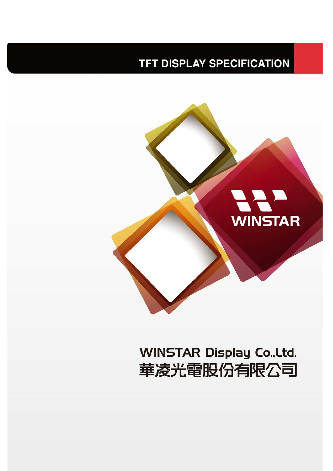## **TFT DISPLAY SPECIFICATION**



# **WINSTAR Display Co., Ltd.** 華凌光電股份有限公司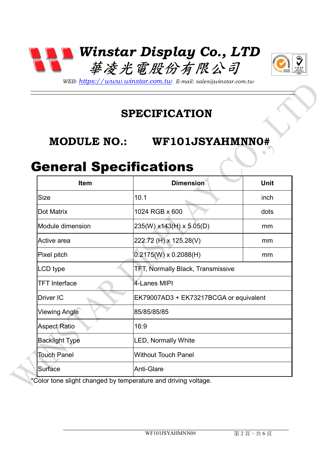



*WEB: https://www.winstar.com.tw E-mail: sales@winstar.com.tw*

#### **SPECIFICATION**

#### **MODULE NO.: WF101JSYAHMNN0#**

## General Specifications

| <b>Item</b>           | <b>Dimension</b>                       | <b>Unit</b> |  |
|-----------------------|----------------------------------------|-------------|--|
| <b>Size</b>           | 10.1                                   | inch        |  |
| Dot Matrix            | 1024 RGB x 600                         | dots        |  |
| Module dimension      | 235(W) x143(H) x 5.05(D)               | mm          |  |
| Active area           | 222.72 (H) x 125.28(V)                 | mm          |  |
| Pixel pitch           | $0.2175(W) \times 0.2088(H)$           | mm          |  |
| LCD type              | TFT, Normally Black, Transmissive      |             |  |
| <b>TFT Interface</b>  | 4-Lanes MIPI                           |             |  |
| Driver IC             | EK79007AD3 + EK73217BCGA or equivalent |             |  |
| <b>Viewing Angle</b>  | 85/85/85/85                            |             |  |
| <b>Aspect Ratio</b>   | 16:9                                   |             |  |
| <b>Backlight Type</b> | <b>LED, Normally White</b>             |             |  |
| <b>Touch Panel</b>    | <b>Without Touch Panel</b>             |             |  |
| Surface               | Anti-Glare                             |             |  |

\*Color tone slight changed by temperature and driving voltage.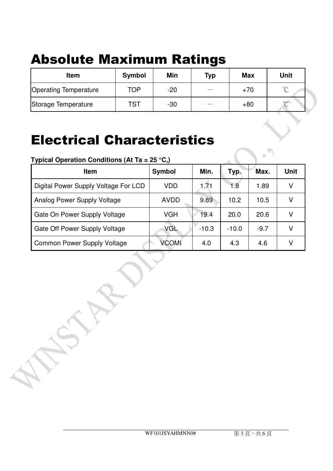# Absolute Maximum Ratings

| <b>Item</b>                  | Symbol | Min   | <b>Typ</b> | <b>Max</b> | <b>Unit</b> |
|------------------------------|--------|-------|------------|------------|-------------|
| <b>Operating Temperature</b> | TOP    | $-20$ |            | $+70$      | $\sim$      |
| Storage Temperature          | TST    | $-30$ |            | $+80$      | $\sim$      |

## Electrical Characteristics

| Typical Operation Conditions (At Ta = 25 °C,) |             |         |         |        |             |
|-----------------------------------------------|-------------|---------|---------|--------|-------------|
| <b>Item</b>                                   | Symbol      | Min.    | Typ.    | Max.   | <b>Unit</b> |
| Digital Power Supply Voltage For LCD          | <b>VDD</b>  | 1.71    | 1.8     | 1.89   |             |
| Analog Power Supply Voltage                   | <b>AVDD</b> | 9.89    | 10.2    | 10.5   |             |
| Gate On Power Supply Voltage                  | <b>VGH</b>  | 19.4    | 20.0    | 20.6   |             |
| Gate Off Power Supply Voltage                 | <b>VGL</b>  | $-10.3$ | $-10.0$ | $-9.7$ |             |
| <b>Common Power Supply Voltage</b>            | VCOMI       | 4.0     | 4.3     | 4.6    |             |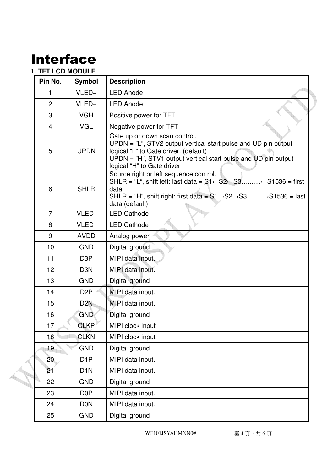## Interface

#### **1. TFT LCD MODULE**

| Pin No.        | Symbol           | <b>Description</b>                                                                                                                                                                                                                                                                          |
|----------------|------------------|---------------------------------------------------------------------------------------------------------------------------------------------------------------------------------------------------------------------------------------------------------------------------------------------|
| 1              | VLED+            | <b>LED Anode</b>                                                                                                                                                                                                                                                                            |
| $\overline{2}$ | VLED+            | <b>LED Anode</b>                                                                                                                                                                                                                                                                            |
| 3              | <b>VGH</b>       | Positive power for TFT                                                                                                                                                                                                                                                                      |
| 4              | <b>VGL</b>       | Negative power for TFT                                                                                                                                                                                                                                                                      |
| 5              | <b>UPDN</b>      | Gate up or down scan control.<br>UPDN = "L", STV2 output vertical start pulse and UD pin output<br>logical "L" to Gate driver. (default)<br>$UPDN = "H", STV1$ output vertical start pulse and UD pin output<br>logical "H" to Gate driver                                                  |
| 6              | <b>SHLR</b>      | Source right or left sequence control.<br>SHLR = $L^{\prime\prime}$ , shift left: last data = $S1 \leftarrow S2 \leftarrow S3$ $\leftarrow$ S1536 = first<br>data.<br>SHLR = "H", shift right: first data = $S1 \rightarrow S2 \rightarrow S3$ $\rightarrow S1536$ = last<br>data.(default) |
| $\overline{7}$ | VLED-            | <b>LED Cathode</b>                                                                                                                                                                                                                                                                          |
| 8              | VLED-            | <b>LED Cathode</b>                                                                                                                                                                                                                                                                          |
| 9              | <b>AVDD</b>      | Analog power                                                                                                                                                                                                                                                                                |
| 10             | <b>GND</b>       | Digital ground                                                                                                                                                                                                                                                                              |
| 11             | D <sub>3</sub> P | MIPI data input.                                                                                                                                                                                                                                                                            |
| 12             | D <sub>3</sub> N | MIPI data input.                                                                                                                                                                                                                                                                            |
| 13             | <b>GND</b>       | Digital ground                                                                                                                                                                                                                                                                              |
| 14             | D <sub>2</sub> P | MIPI data input.                                                                                                                                                                                                                                                                            |
| 15             | D <sub>2</sub> N | MIPI data input.                                                                                                                                                                                                                                                                            |
| 16             | <b>GND</b>       | Digital ground                                                                                                                                                                                                                                                                              |
| 17             | <b>CLKP</b>      | MIPI clock input                                                                                                                                                                                                                                                                            |
| 18             | <b>CLKN</b>      | MIPI clock input                                                                                                                                                                                                                                                                            |
| 19             | <b>GND</b>       | Digital ground                                                                                                                                                                                                                                                                              |
| 20             | D <sub>1</sub> P | MIPI data input.                                                                                                                                                                                                                                                                            |
| 21             | D <sub>1</sub> N | MIPI data input.                                                                                                                                                                                                                                                                            |
| 22             | <b>GND</b>       | Digital ground                                                                                                                                                                                                                                                                              |
| 23             | D <sub>0</sub> P | MIPI data input.                                                                                                                                                                                                                                                                            |
| 24             | <b>DON</b>       | MIPI data input.                                                                                                                                                                                                                                                                            |
| 25             | <b>GND</b>       | Digital ground                                                                                                                                                                                                                                                                              |
|                |                  |                                                                                                                                                                                                                                                                                             |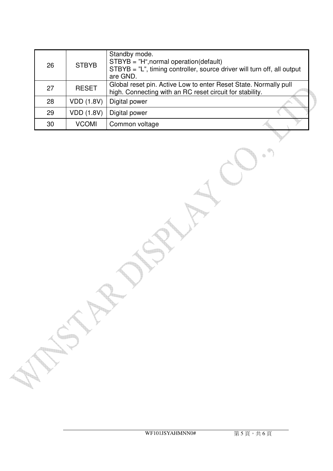| 26 | <b>STBYB</b>      | Standby mode.<br>$STBYB = "H", normal operation(default)$<br>$STBYB = "L",$ timing controller, source driver will turn off, all output<br>are GND. |
|----|-------------------|----------------------------------------------------------------------------------------------------------------------------------------------------|
| 27 | <b>RESET</b>      | Global reset pin. Active Low to enter Reset State. Normally pull<br>high. Connecting with an RC reset circuit for stability.                       |
| 28 | <b>VDD (1.8V)</b> | Digital power                                                                                                                                      |
| 29 | <b>VDD (1.8V)</b> | Digital power                                                                                                                                      |
| 30 | <b>VCOMI</b>      | Common voltage                                                                                                                                     |

<u> Till</u>

♦  $\oplus$